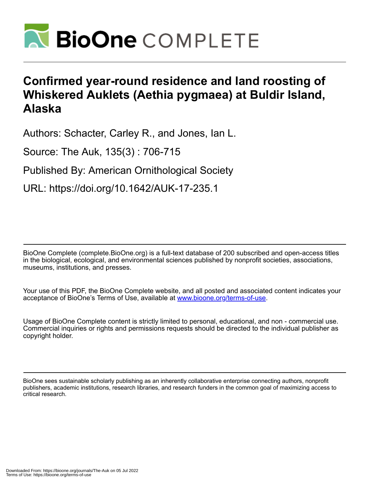

# **Confirmed year-round residence and land roosting of Whiskered Auklets (Aethia pygmaea) at Buldir Island, Alaska**

Authors: Schacter, Carley R., and Jones, Ian L.

Source: The Auk, 135(3) : 706-715

Published By: American Ornithological Society

URL: https://doi.org/10.1642/AUK-17-235.1

BioOne Complete (complete.BioOne.org) is a full-text database of 200 subscribed and open-access titles in the biological, ecological, and environmental sciences published by nonprofit societies, associations, museums, institutions, and presses.

Your use of this PDF, the BioOne Complete website, and all posted and associated content indicates your acceptance of BioOne's Terms of Use, available at www.bioone.org/terms-of-use.

Usage of BioOne Complete content is strictly limited to personal, educational, and non - commercial use. Commercial inquiries or rights and permissions requests should be directed to the individual publisher as copyright holder.

BioOne sees sustainable scholarly publishing as an inherently collaborative enterprise connecting authors, nonprofit publishers, academic institutions, research libraries, and research funders in the common goal of maximizing access to critical research.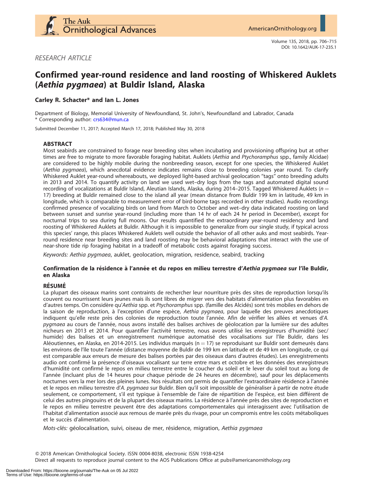

RESEARCH ARTICLE

# Confirmed year-round residence and land roosting of Whiskered Auklets (Aethia pygmaea) at Buldir Island, Alaska

## Carley R. Schacter\* and Ian L. Jones

Department of Biology, Memorial University of Newfoundland, St. John's, Newfoundland and Labrador, Canada \* Corresponding author: [crs634@mun.ca](mailto:crs634@mun.ca)

Submitted December 11, 2017; Accepted March 17, 2018; Published May 30, 2018

#### ABSTRACT

Most seabirds are constrained to forage near breeding sites when incubating and provisioning offspring but at other times are free to migrate to more favorable foraging habitat. Auklets (Aethia and Ptychoramphus spp., family Alcidae) are considered to be highly mobile during the nonbreeding season, except for one species, the Whiskered Auklet (Aethia pygmaea), which anecdotal evidence indicates remains close to breeding colonies year round. To clarify Whiskered Auklet year-round whereabouts, we deployed light-based archival geolocation ''tags'' onto breeding adults in 2013 and 2014. To quantify activity on land we used wet–dry logs from the tags and automated digital sound recording of vocalizations at Buldir Island, Aleutian Islands, Alaska, during 2014–2015. Tagged Whiskered Auklets ( $n =$ 17) breeding at Buldir remained close to the island all year (mean distance from Buldir 199 km in latitude, 49 km in longitude, which is comparable to measurement error of bird-borne tags recorded in other studies). Audio recordings confirmed presence of vocalizing birds on land from March to October and wet–dry data indicated roosting on land between sunset and sunrise year-round (including more than 14 hr of each 24 hr period in December), except for nocturnal trips to sea during full moons. Our results quantified the extraordinary year-round residency and land roosting of Whiskered Auklets at Buldir. Although it is impossible to generalize from our single study, if typical across this species' range, this places Whiskered Auklets well outside the behavior of all other auks and most seabirds. Yearround residence near breeding sites and land roosting may be behavioral adaptations that interact with the use of near-shore tide rip foraging habitat in a tradeoff of metabolic costs against foraging success.

Keywords: Aethia pygmaea, auklet, geolocation, migration, residence, seabird, tracking

#### Confirmation de la résidence à l'année et du repos en milieu terrestre d'Aethia pygmaea sur l'île Buldir, en Alaska

#### **RÉSUMÉ**

La plupart des oiseaux marins sont contraints de rechercher leur nourriture près des sites de reproduction lorsqu'ils couvent ou nourrissent leurs jeunes mais ils sont libres de migrer vers des habitats d'alimentation plus favorables en d'autres temps. On considère qu'Aethia spp. et Ptychoramphus spp. (famille des Alcidés) sont très mobiles en dehors de la saison de reproduction, à l'exception d'une espèce, Aethia pygmaea, pour laquelle des preuves anecdotiques indiquent qu'elle reste près des colonies de reproduction toute l'année. Afin de vérifier les allées et venues d'A. pygmaea au cours de l'année, nous avons installé des balises archives de géolocation par la lumière sur des adultes nicheurs en 2013 et 2014. Pour quantifier l'activité terrestre, nous avons utilisé les enregistreurs d'humidité (sec/ humide) des balises et un enregistrement numérique automatisé des vocalisations sur l'île Buldir, dans les Aléoutiennes, en Alaska, en 2014-2015. Les individus marqués ( $n = 17$ ) se reproduisant sur Buldir sont demeurés dans les environs de l'île toute l'année (distance moyenne de Buldir de 199 km en latitude et de 49 km en longitude, ce qui est comparable aux erreurs de mesure des balises portées par des oiseaux dans d'autres études). Les enregistrements audio ont confirmé la présence d'oiseaux vocalisant sur terre entre mars et octobre et les données des enregistreurs d'humidité ont confirmé le repos en milieu terrestre entre le coucher du soleil et le lever du soleil tout au long de l'année (incluant plus de 14 heures pour chaque période de 24 heures en décembre), sauf pour les déplacements nocturnes vers la mer lors des pleines lunes. Nos résultats ont permis de quantifier l'extraordinaire résidence à l'année et le repos en milieu terrestre d'A. pygmaea sur Buldir. Bien qu'il soit impossible de généraliser à partir de notre étude seulement, ce comportement, s'il est typique à l'ensemble de l'aire de répartition de l'espèce, est bien différent de celui des autres pingouins et de la plupart des oiseaux marins. La résidence à l'année près des sites de reproduction et le repos en milieu terrestre peuvent être des adaptations comportementales qui interagissent avec l'utilisation de l'habitat d'alimentation associé aux remous de marée près du rivage, pour un compromis entre les coûts métaboliques et le succès d'alimentation.

Mots-clés: géolocalisation, suivi, oiseau de mer, résidence, migration, Aethia pygmaea

Q 2018 American Ornithological Society. ISSN 0004-8038, electronic ISSN 1938-4254

Direct all requests to reproduce journal content to the AOS Publications Office at pubs@americanornithology.org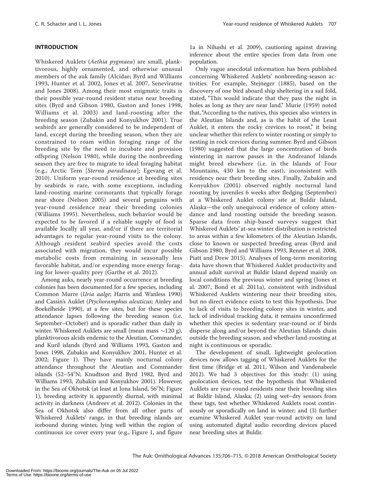## INTRODUCTION

Whiskered Auklets (Aethia pygmaea) are small, planktivorous, highly ornamented, and otherwise unusual members of the auk family (Alcidae; Byrd and Williams 1993, Hunter et al. 2002, Jones et al. 2007, Seneviratne and Jones 2008). Among their most enigmatic traits is their possible year-round resident status near breeding sites (Byrd and Gibson 1980, Gaston and Jones 1998, Williams et al. 2003) and land-roosting after the breeding season (Zubakin and Konyukhov 2001). True seabirds are generally considered to be independent of land, except during the breeding season, when they are constrained to roam within foraging range of the breeding site by the need to incubate and provision offspring (Nelson 1980), while during the nonbreeding season they are free to migrate to ideal foraging habitat (e.g., Arctic Tern [Sterna paradisaea]; Egevang et al. 2010). Uniform year-round residence at breeding sites by seabirds is rare, with some exceptions, including land-roosting marine cormorants that typically forage near shore (Nelson 2005) and several penguins with year-round residence near their breeding colonies (Williams 1995). Nevertheless, such behavior would be expected to be favored if a reliable supply of food is available locally all year, and/or if there are territorial advantages to regular year-round visits to the colony. Although resident seabird species avoid the costs associated with migration, they would incur possible metabolic costs from remaining in seasonally less favorable habitat, and/or expending more energy foraging for lower-quality prey (Garthe et al. 2012).

Among auks, nearly year-round occurrence at breeding colonies has been documented for a few species, including Common Murre (Uria aalge; Harris and Wanless 1990) and Cassin's Auklet (Ptychoramphus aleuticus; Ainley and Boekelheide 1990), at a few sites, but for these species attendance lapses following the breeding season (i.e. September–October) and is sporadic rather than daily in winter. Whiskered Auklets are small (mean mass  $\sim$ 120 g), planktivorous alcids endemic to the Aleutian, Commander, and Kuril islands (Byrd and Williams 1993, Gaston and Jones 1998, Zubakin and Konyukhov 2001, Hunter et al. 2002; Figure 1). They have mainly nocturnal colony attendance throughout the Aleutian and Commander islands (52-54°N; Knudtson and Byrd 1982, Byrd and Williams 1993, Zubakin and Konyukhov 2001). However, in the Sea of Okhotsk (at least at Iona Island,  $56^{\circ}$ N; Figure 1), breeding activity is apparently diurnal, with minimal activity in darkness (Andreev et al. 2012). Colonies in the Sea of Okhotsk also differ from all other parts of Whiskered Auklets' range, in that breeding islands are icebound during winter, lying well within the region of continuous ice cover every year (e.g., Figure 1, and figure

1a in Nihashi et al. 2009), cautioning against drawing inference about the entire species from data from one population.

Only vague anecdotal information has been published concerning Whiskered Auklets' nonbreeding-season activities. For example, Stejneger (1885), based on the discovery of one bird aboard ship sheltering in a sail fold, stated, "This would indicate that they pass the night in holes as long as they are near land.'' Murie (1959) noted that, "According to the natives, this species also winters in the Aleutian Islands and, as is the habit of the Least Auklet, it enters the rocky crevices to roost," it being unclear whether this refers to winter roosting or simply to nesting in rock crevices during summer. Byrd and Gibson (1980) suggested that the large concentration of birds wintering in narrow passes in the Andreanof Islands might breed elsewhere (i.e. in the Islands of Four Mountains, 430 km to the east), inconsistent with residency near their breeding sites. Finally, Zubakin and Konyukhov (2001) observed nightly nocturnal land roosting by juveniles 6 weeks after fledging (September) at a Whiskered Auklet colony site at Buldir Island, Alaska—the only unequivocal evidence of colony attendance and land roosting outside the breeding season. Sparse data from ship-based surveys suggest that Whiskered Auklets' at-sea winter distribution is restricted to areas within a few kilometers of the Aleutian Islands, close to known or suspected breeding areas (Byrd and Gibson 1980, Byrd and Williams 1993, Renner et al. 2008, Piatt and Drew 2015). Analyses of long-term monitoring data have shown that Whiskered Auklet productivity and annual adult survival at Buldir Island depend mainly on local conditions the previous winter and spring (Jones et al. 2007, Bond et al. 2011a), consistent with individual Whiskered Auklets wintering near their breeding sites, but no direct evidence exists to test this hypothesis. Due to lack of visits to breeding colony sites in winter, and lack of individual tracking data, it remains unconfirmed whether this species is sedentary year-round or if birds disperse along and/or beyond the Aleutian Islands chain outside the breeding season, and whether land-roosting at night is continuous or sporadic.

The development of small, lightweight geolocation devices now allows tagging of Whiskered Auklets for the first time (Bridge et al. 2011, Wilson and Vandenabeele 2012). We had 3 objectives for this study: (1) using geolocation devices, test the hypothesis that Whiskered Auklets are year-round residents near their breeding sites at Buldir Island, Alaska; (2) using wet–dry sensors from these tags, test whether Whiskered Auklets roost continuously or sporadically on land in winter; and (3) further examine Whiskered Auklet year-round activity on land using automated digital audio recording devices placed near breeding sites at Buldir.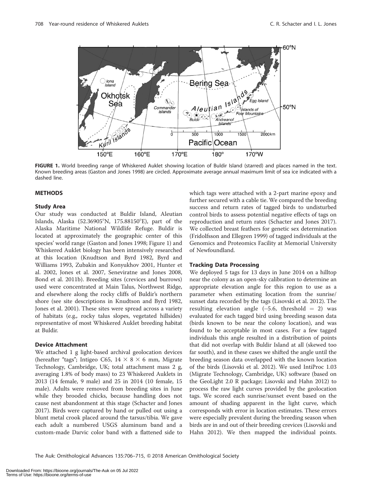

FIGURE 1. World breeding range of Whiskered Auklet showing location of Buldir Island (starred) and places named in the text. Known breeding areas (Gaston and Jones 1998) are circled. Approximate average annual maximum limit of sea ice indicated with a dashed line.

#### **METHODS**

#### Study Area

Our study was conducted at Buldir Island, Aleutian Islands, Alaska (52.36905°N, 175.88150°E), part of the Alaska Maritime National Wildlife Refuge. Buldir is located at approximately the geographic center of this species' world range (Gaston and Jones 1998; Figure 1) and Whiskered Auklet biology has been intensively researched at this location (Knudtson and Byrd 1982, Byrd and Williams 1993, Zubakin and Konyukhov 2001, Hunter et al. 2002, Jones et al. 2007, Seneviratne and Jones 2008, Bond et al. 2011b). Breeding sites (crevices and burrows) used were concentrated at Main Talus, Northwest Ridge, and elsewhere along the rocky cliffs of Buldir's northern shore (see site descriptions in Knudtson and Byrd 1982, Jones et al. 2001). These sites were spread across a variety of habitats (e.g., rocky talus slopes, vegetated hillsides) representative of most Whiskered Auklet breeding habitat at Buldir.

#### Device Attachment

We attached 1 g light-based archival geolocation devices (hereafter "tags"; Intigeo C65,  $14 \times 8 \times 6$  mm, Migrate Technology, Cambridge, UK; total attachment mass 2 g, averaging 1.8% of body mass) to 23 Whiskered Auklets in 2013 (14 female, 9 male) and 25 in 2014 (10 female, 15 male). Adults were removed from breeding sites in June while they brooded chicks, because handling does not cause nest abandonment at this stage (Schacter and Jones 2017). Birds were captured by hand or pulled out using a blunt metal crook placed around the tarsus/tibia. We gave each adult a numbered USGS aluminum band and a custom-made Darvic color band with a flattened side to

which tags were attached with a 2-part marine epoxy and further secured with a cable tie. We compared the breeding success and return rates of tagged birds to undisturbed control birds to assess potential negative effects of tags on reproduction and return rates (Schacter and Jones 2017). We collected breast feathers for genetic sex determination (Fridolfsson and Ellegren 1999) of tagged individuals at the Genomics and Proteomics Facility at Memorial University of Newfoundland.

#### Tracking Data Processing

We deployed 5 tags for 13 days in June 2014 on a hilltop near the colony as an open-sky calibration to determine an appropriate elevation angle for this region to use as a parameter when estimating location from the sunrise/ sunset data recorded by the tags (Lisovski et al. 2012). The resulting elevation angle  $(-5.6,$  threshold  $= 2)$  was evaluated for each tagged bird using breeding season data (birds known to be near the colony location), and was found to be acceptable in most cases. For a few tagged individuals this angle resulted in a distribution of points that did not overlap with Buldir Island at all (skewed too far south), and in these cases we shifted the angle until the breeding season data overlapped with the known location of the birds (Lisovski et al. 2012). We used IntiProc 1.03 (Migrate Technology, Cambridge, UK) software (based on the GeoLight 2.0 R package; Lisovski and Hahn 2012) to process the raw light curves provided by the geolocation tags. We scored each sunrise/sunset event based on the amount of shading apparent in the light curve, which corresponds with error in location estimates. These errors were especially prevalent during the breeding season when birds are in and out of their breeding crevices (Lisovski and Hahn 2012). We then mapped the individual points.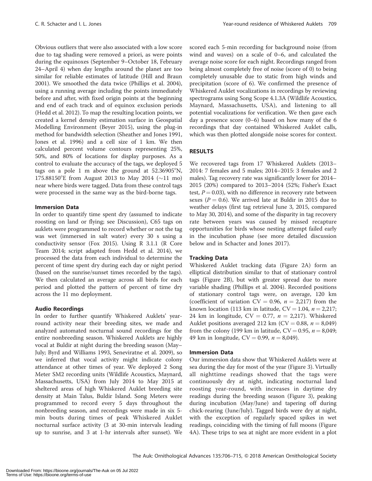Obvious outliers that were also associated with a low score due to tag shading were removed a priori, as were points during the equinoxes (September 9–October 18, February 24–April 4) when day lengths around the planet are too similar for reliable estimates of latitude (Hill and Braun 2001). We smoothed the data twice (Phillips et al. 2004), using a running average including the points immediately before and after, with fixed origin points at the beginning and end of each track and of equinox exclusion periods (Hedd et al. 2012). To map the resulting location points, we created a kernel density estimation surface in Geospatial Modelling Environment (Beyer 2015), using the plug-in method for bandwidth selection (Sheather and Jones 1991, Jones et al. 1996) and a cell size of 1 km. We then calculated percent volume contours representing 25%, 50%, and 80% of locations for display purposes. As a control to evaluate the accuracy of the tags, we deployed 5 tags on a pole 1 m above the ground at  $52.36905^{\circ}$ N, 175.88150°E from August 2013 to May 2014 ( $\sim$ 11 mo) near where birds were tagged. Data from these control tags were processed in the same way as the bird-borne tags.

#### Immersion Data

In order to quantify time spent dry (assumed to indicate roosting on land or flying; see Discussion), C65 tags on auklets were programmed to record whether or not the tag was wet (immersed in salt water) every 30 s using a conductivity sensor (Fox 2015). Using R 3.1.1 (R Core Team 2014; script adapted from Hedd et al. 2014), we processed the data from each individual to determine the percent of time spent dry during each day or night period (based on the sunrise/sunset times recorded by the tags). We then calculated an average across all birds for each period and plotted the pattern of percent of time dry across the 11 mo deployment.

#### Audio Recordings

In order to further quantify Whiskered Auklets' yearround activity near their breeding sites, we made and analyzed automated nocturnal sound recordings for the entire nonbreeding season. Whiskered Auklets are highly vocal at Buldir at night during the breeding season (May– July; Byrd and Williams 1993, Seneviratne et al. 2009), so we inferred that vocal activity might indicate colony attendance at other times of year. We deployed 2 Song Meter SM2 recording units (Wildlife Acoustics, Maynard, Massachusetts, USA) from July 2014 to May 2015 at sheltered areas of high Whiskered Auklet breeding site density at Main Talus, Buldir Island. Song Meters were programmed to record every 5 days throughout the nonbreeding season, and recordings were made in six 5 min bouts during times of peak Whiskered Auklet nocturnal surface activity (3 at 30-min intervals leading up to sunrise, and 3 at 1-hr intervals after sunset). We scored each 5-min recording for background noise (from wind and waves) on a scale of 0–6, and calculated the average noise score for each night. Recordings ranged from being almost completely free of noise (score of 0) to being completely unusable due to static from high winds and precipitation (score of 6). We confirmed the presence of Whiskered Auklet vocalizations in recordings by reviewing spectrograms using Song Scope 4.1.3A (Wildlife Acoustics, Maynard, Massachusetts, USA), and listening to all potential vocalizations for verification. We then gave each day a presence score (0–6) based on how many of the 6 recordings that day contained Whiskered Auklet calls, which was then plotted alongside noise scores for context.

# RESULTS

We recovered tags from 17 Whiskered Auklets (2013– 2014: 7 females and 5 males; 2014–2015: 3 females and 2 males). Tag recovery rate was significantly lower for 2014– 2015 (20%) compared to 2013–2014 (52%; Fisher's Exact test,  $P = 0.03$ ), with no difference in recovery rate between sexes ( $P = 0.6$ ). We arrived late at Buldir in 2015 due to weather delays (first tag retrieval June 3, 2015, compared to May 30, 2014), and some of the disparity in tag recovery rate between years was caused by missed recapture opportunities for birds whose nesting attempt failed early in the incubation phase (see more detailed discussion below and in Schacter and Jones 2017).

#### Tracking Data

Whiskered Auklet tracking data (Figure 2A) form an elliptical distribution similar to that of stationary control tags (Figure 2B), but with greater spread due to more variable shading (Phillips et al. 2004). Recorded positions of stationary control tags were, on average, 120 km (coefficient of variation  $CV = 0.96$ ,  $n = 2,217$ ) from the known location (113 km in latitude,  $CV = 1.04$ ,  $n = 2.217$ ; 24 km in longitude,  $CV = 0.77$ ,  $n = 2,217$ ). Whiskered Auklet positions averaged 212 km (CV = 0.88,  $n = 8,049$ ) from the colony (199 km in latitude,  $CV = 0.95$ ,  $n = 8,049$ ; 49 km in longitude,  $CV = 0.99$ ,  $n = 8,049$ ).

# Immersion Data

Our immersion data show that Whiskered Auklets were at sea during the day for most of the year (Figure 3). Virtually all nighttime readings showed that the tags were continuously dry at night, indicating nocturnal land roosting year-round, with increases in daytime dry readings during the breeding season (Figure 3), peaking during incubation (May/June) and tapering off during chick-rearing (June/July). Tagged birds were dry at night, with the exception of regularly spaced spikes in wet readings, coinciding with the timing of full moons (Figure 4A). These trips to sea at night are more evident in a plot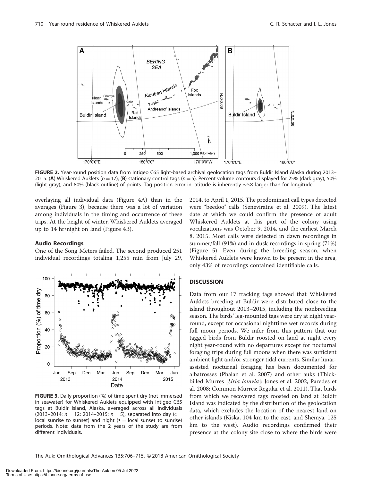

FIGURE 2. Year-round position data from Intigeo C65 light-based archival geolocation tags from Buldir Island Alaska during 2013– 2015: (A) Whiskered Auklets ( $n = 17$ ); (B) stationary control tags ( $n = 5$ ). Percent volume contours displayed for 25% (dark gray), 50% (light gray), and 80% (black outline) of points. Tag position error in latitude is inherently  $\sim$  5 $\times$  larger than for longitude.

overlaying all individual data (Figure 4A) than in the averages (Figure 3), because there was a lot of variation among individuals in the timing and occurrence of these trips. At the height of winter, Whiskered Auklets averaged up to 14 hr/night on land (Figure 4B).

#### Audio Recordings

One of the Song Meters failed. The second produced 251 individual recordings totaling 1,255 min from July 29,



FIGURE 3. Daily proportion (%) of time spent dry (not immersed in seawater) for Whiskered Auklets equipped with Intigeo C65 tags at Buldir Island, Alaska, averaged across all individuals (2013–2014:  $n = 12$ ; 2014–2015:  $n = 5$ ), separated into day ( $\circ =$ local sunrise to sunset) and night  $($  = local sunset to sunrise) periods. Note: data from the 2 years of the study are from different individuals.

2014, to April 1, 2015. The predominant call types detected were "beedoo" calls (Seneviratne et al. 2009). The latest date at which we could confirm the presence of adult Whiskered Auklets at this part of the colony using vocalizations was October 9, 2014, and the earliest March 8, 2015. Most calls were detected in dawn recordings in summer/fall (91%) and in dusk recordings in spring (71%) (Figure 5). Even during the breeding season, when Whiskered Auklets were known to be present in the area, only 43% of recordings contained identifiable calls.

#### **DISCUSSION**

Data from our 17 tracking tags showed that Whiskered Auklets breeding at Buldir were distributed close to the island throughout 2013–2015, including the nonbreeding season. The birds' leg-mounted tags were dry at night yearround, except for occasional nighttime wet records during full moon periods. We infer from this pattern that our tagged birds from Buldir roosted on land at night every night year-round with no departures except for nocturnal foraging trips during full moons when there was sufficient ambient light and/or stronger tidal currents. Similar lunarassisted nocturnal foraging has been documented for albatrosses (Phalan et al. 2007) and other auks (Thickbilled Murres [Uria lomvia]: Jones et al. 2002, Paredes et al. 2008; Common Murres: Regular et al. 2011). That birds from which we recovered tags roosted on land at Buldir Island was indicated by the distribution of the geolocation data, which excludes the location of the nearest land on other islands (Kiska, 104 km to the east, and Shemya, 125 km to the west). Audio recordings confirmed their presence at the colony site close to where the birds were

The Auk: Ornithological Advances 135:706-715, © 2018 American Ornithological Society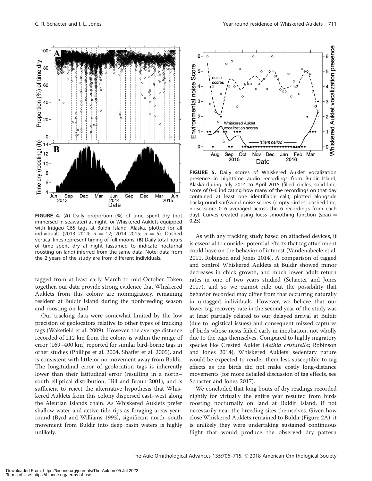

FIGURE 4. (A) Daily proportion (%) of time spent dry (not immersed in seawater) at night for Whiskered Auklets equipped with Intigeo C65 tags at Buldir Island, Alaska, plotted for all individuals (2013–2014:  $n = 12$ ; 2014–2015:  $n = 5$ ). Dashed vertical lines represent timing of full moons. (B) Daily total hours of time spent dry at night (assumed to indicate nocturnal roosting on land) inferred from the same data. Note: data from the 2 years of the study are from different individuals.

tagged from at least early March to mid-October. Taken together, our data provide strong evidence that Whiskered Auklets from this colony are nonmigratory, remaining resident at Buldir Island during the nonbreeding season and roosting on land.

Our tracking data were somewhat limited by the low precision of geolocators relative to other types of tracking tags (Wakefield et al. 2009). However, the average distance recorded of 212 km from the colony is within the range of error (169–400 km) reported for similar bird-borne tags in other studies (Phillips et al. 2004, Shaffer et al. 2005), and is consistent with little or no movement away from Buldir. The longitudinal error of geolocation tags is inherently lower than their latitudinal error (resulting in a north– south elliptical distribution; Hill and Braun 2001), and is sufficient to reject the alternative hypothesis that Whiskered Auklets from this colony dispersed east–west along the Aleutian Islands chain. As Whiskered Auklets prefer shallow water and active tide-rips as foraging areas yearround (Byrd and Williams 1993), significant north–south movement from Buldir into deep basin waters is highly unlikely.



FIGURE 5. Daily scores of Whiskered Auklet vocalization presence in nighttime audio recordings from Buldir Island, Alaska during July 2014 to April 2015 (filled circles, solid line; score of 0–6 indicating how many of the recordings on that day contained at least one identifiable call), plotted alongside background surf/wind noise scores (empty circles, dashed line; noise score 0–6 averaged across the 6 recordings from each day). Curves created using loess smoothing function (span  $=$ 0.25).

As with any tracking study based on attached devices, it is essential to consider potential effects that tag attachment could have on the behavior of interest (Vandenabeele et al. 2011, Robinson and Jones 2014). A comparison of tagged and control Whiskered Auklets at Buldir showed minor decreases in chick growth, and much lower adult return rates in one of two years studied (Schacter and Jones 2017), and so we cannot rule out the possibility that behavior recorded may differ from that occurring naturally in untagged individuals. However, we believe that our lower tag recovery rate in the second year of the study was at least partially related to our delayed arrival at Buldir (due to logistical issues) and consequent missed captures of birds whose nests failed early in incubation, not wholly due to the tags themselves. Compared to highly migratory species like Crested Auklet (Aethia cristatella; Robinson and Jones 2014), Whiskered Auklets' sedentary nature would be expected to render them less susceptible to tag effects as the birds did not make costly long-distance movements (for more detailed discussion of tag effects, see Schacter and Jones 2017).

We concluded that long bouts of dry readings recorded nightly for virtually the entire year resulted from birds roosting nocturnally on land at Buldir Island, if not necessarily near the breeding sites themselves. Given how close Whiskered Auklets remained to Buldir (Figure 2A), it is unlikely they were undertaking sustained continuous flight that would produce the observed dry pattern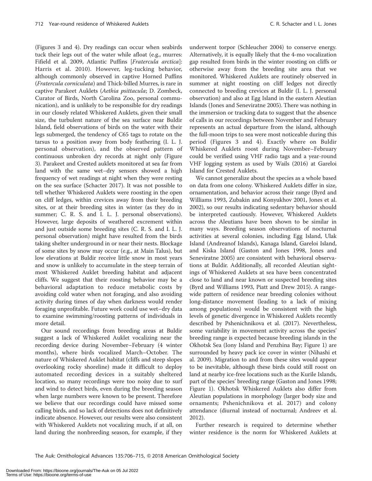(Figures 3 and 4). Dry readings can occur when seabirds tuck their legs out of the water while afloat (e.g., murres: Fifield et al. 2009, Atlantic Puffins [Fratercula arctica]: Harris et al. 2010). However, leg-tucking behavior, although commonly observed in captive Horned Puffins (Fratercula corniculata) and Thick-billed Murres, is rare in captive Parakeet Auklets (Aethia psittacula; D. Zombeck, Curator of Birds, North Carolina Zoo, personal communication), and is unlikely to be responsible for dry readings in our closely related Whiskered Auklets, given their small size, the turbulent nature of the sea surface near Buldir Island, field observations of birds on the water with their legs submerged, the tendency of C65 tags to rotate on the tarsus to a position away from body feathering (I. L. J. personal observation), and the observed pattern of continuous unbroken dry records at night only (Figure 3). Parakeet and Crested auklets monitored at sea far from land with the same wet–dry sensors showed a high frequency of wet readings at night when they were resting on the sea surface (Schacter 2017). It was not possible to tell whether Whiskered Auklets were roosting in the open on cliff ledges, within crevices away from their breeding sites, or at their breeding sites in winter (as they do in summer; C. R. S. and I. L. J. personal observations). However, large deposits of weathered excrement within and just outside some breeding sites (C. R. S. and I. L. J. personal observation) might have resulted from the birds taking shelter underground in or near their nests. Blockage of some sites by snow may occur (e.g., at Main Talus), but low elevations at Buldir receive little snow in most years and snow is unlikely to accumulate in the steep terrain of most Whiskered Auklet breeding habitat and adjacent cliffs. We suggest that their roosting behavior may be a behavioral adaptation to reduce metabolic costs by avoiding cold water when not foraging, and also avoiding activity during times of day when darkness would render foraging unprofitable. Future work could use wet–dry data to examine swimming/roosting patterns of individuals in more detail.

Our sound recordings from breeding areas at Buldir suggest a lack of Whiskered Auklet vocalizing near the recording device during November–February (4 winter months), where birds vocalized March–October. The nature of Whiskered Auklet habitat (cliffs and steep slopes overlooking rocky shoreline) made it difficult to deploy automated recording devices in a suitably sheltered location, so many recordings were too noisy due to surf and wind to detect birds, even during the breeding season when large numbers were known to be present. Therefore we believe that our recordings could have missed some calling birds, and so lack of detections does not definitively indicate absence. However, our results were also consistent with Whiskered Auklets not vocalizing much, if at all, on land during the nonbreeding season, for example, if they

underwent torpor (Schleucher 2004) to conserve energy. Alternatively, it is equally likely that the 4-mo vocalization gap resulted from birds in the winter roosting on cliffs or otherwise away from the breeding site area that we monitored. Whiskered Auklets are routinely observed in summer at night roosting on cliff ledges not directly connected to breeding crevices at Buldir (I. L. J. personal observation) and also at Egg Island in the eastern Aleutian Islands (Jones and Seneviratne 2005). There was nothing in the immersion or tracking data to suggest that the absence of calls in our recordings between November and February represents an actual departure from the island, although the full-moon trips to sea were most noticeable during this period (Figures 3 and 4). Exactly where on Buldir Whiskered Auklets roost during November–February could be verified using VHF radio tags and a year-round VHF logging system as used by Wails (2016) at Gareloi Island for Crested Auklets.

We cannot generalize about the species as a whole based on data from one colony. Whiskered Auklets differ in size, ornamentation, and behavior across their range (Byrd and Williams 1993, Zubakin and Konyukhov 2001, Jones et al. 2002), so our results indicating sedentary behavior should be interpreted cautiously. However, Whiskered Auklets across the Aleutians have been shown to be similar in many ways. Breeding season observations of nocturnal activities at several colonies, including Egg Island, Ulak Island (Andreanof Islands), Kanaga Island, Gareloi Island, and Kiska Island (Gaston and Jones 1998, Jones and Seneviratne 2005) are consistent with behavioral observations at Buldir. Additionally, all recorded Aleutian sightings of Whiskered Auklets at sea have been concentrated close to land and near known or suspected breeding sites (Byrd and Williams 1993, Piatt and Drew 2015). A rangewide pattern of residence near breeding colonies without long-distance movement (leading to a lack of mixing among populations) would be consistent with the high levels of genetic divergence in Whiskered Auklets recently described by Pshenichnikova et al. (2017). Nevertheless, some variability in movement activity across the species' breeding range is expected because breeding islands in the Okhotsk Sea (Iony Island and Penzhina Bay; Figure 1) are surrounded by heavy pack ice cover in winter (Nihashi et al. 2009). Migration to and from these sites would appear to be inevitable, although these birds could still roost on land at nearby ice-free locations such as the Kurile Islands, part of the species' breeding range (Gaston and Jones 1998; Figure 1). Okhotsk Whiskered Auklets also differ from Aleutian populations in morphology (larger body size and ornaments; Pshenichnikova et al. 2017) and colony attendance (diurnal instead of nocturnal; Andreev et al. 2012).

Further research is required to determine whether winter residence is the norm for Whiskered Auklets at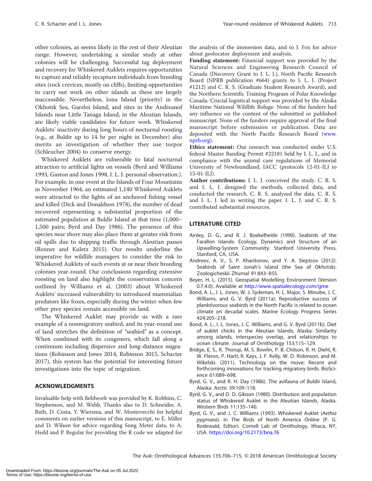other colonies, as seems likely in the rest of their Aleutian range. However, undertaking a similar study at other colonies will be challenging. Successful tag deployment and recovery for Whiskered Auklets requires opportunities to capture and reliably recapture individuals from breeding sites (rock crevices, mostly on cliffs), limiting opportunities to carry out work on other islands as these are largely inaccessible. Nevertheless, Iona Island (priority) in the Okhotsk Sea, Gareloi Island, and sites in the Andreanof Islands near Little Tanaga Island, in the Aleutian Islands, are likely viable candidates for future work. Whiskered Auklets' inactivity during long hours of nocturnal roosting (e.g., at Buldir up to 14 hr per night in December) also merits an investigation of whether they use torpor (Schleucher 2004) to conserve energy.

Whiskered Auklets are vulnerable to fatal nocturnal attraction to artificial lights on vessels (Byrd and Williams 1993, Gaston and Jones 1998, I. L. J. personal observation.). For example, in one event at the Islands of Four Mountains in November 1964, an estimated 1,140 Whiskered Auklets were attracted to the lights of an anchored fishing vessel and killed (Dick and Donaldson 1978), the number of dead recovered representing a substantial proportion of the estimated population at Buldir Island at that time (1,000– 1,500 pairs; Byrd and Day 1986). The presence of this species near shore may also place them at greater risk from oil spills due to shipping traffic through Aleutian passes (Renner and Kuletz 2015). Our results underline the imperative for wildlife managers to consider the risk to Whiskered Auklets of such events at or near their breeding colonies year-round. Our conclusions regarding extensive roosting on land also highlight the conservation concern outlined by Williams et al. (2003) about Whiskered Auklets' increased vulnerability to introduced mammalian predators like foxes, especially during the winter when few other prey species remain accessible on land.

The Whiskered Auklet may provide us with a rare example of a nonmigratory seabird, and its year-round use of land stretches the definition of ''seabird'' as a concept. When combined with its congeners, which fall along a continuum including dispersive and long-distance migrations (Robinson and Jones 2014, Robinson 2015, Schacter 2017), this system has the potential for interesting future investigations into the topic of migration.

# ACKNOWLEDGMENTS

Invaluable help with fieldwork was provided by K. Robbins, C. Stephenson, and M. Webb. Thanks also to D. Schneider, A. Bath, D. Costa, Y. Wiersma, and W. Montevecchi for helpful comments on earlier versions of this manuscript, to E. Miller and D. Wilson for advice regarding Song Meter data, to A. Hedd and P. Regular for providing the R code we adapted for

the analysis of the immersion data, and to J. Fox for advice about geolocator deployment and analysis.

Funding statement: Financial support was provided by the Natural Sciences and Engineering Research Council of Canada (Discovery Grant to I. L. J.), North Pacific Research Board (NPRB publication #664) grants to I. L. J. (Project #1212) and C. R. S. (Graduate Student Research Award), and the Northern Scientific Training Program of Polar Knowledge Canada. Crucial logistical support was provided by the Alaska Maritime National Wildlife Refuge. None of the funders had any influence on the content of the submitted or published manuscript. None of the funders require approval of the final manuscript before submission or publication. Data are deposited with the North Pacific Research Board ([www.](http://www.nprb.org) [nprb.org\)](http://www.nprb.org).

Ethics statement: Our research was conducted under U.S. federal Master Banding Permit #22181 held by I. L. J., and in compliance with the animal care regulations of Memorial University of Newfoundland, IACC (protocols 12-01-ILJ to 15-01-ILJ).

Author contributions: I. L. J. conceived the study. C. R. S. and I. L. J. designed the methods, collected data, and conducted the research. C. R. S. analyzed the data. C. R. S. and I. L. J. led in writing the paper. I. L. J. and C. R. S. contributed substantial resources.

# LITERATURE CITED

- Ainley, D. G., and R. J. Boekelheide (1990). Seabirds of the Farallon Islands: Ecology, Dynamics and Structure of an Upwelling-System Community. Stanford University Press, Stanford, CA, USA.
- Andreev, A. V., S. P. Kharitonov, and Y. A. Sleptsov (2012). Seabirds of Saint Jonah's Island (the Sea of Okhotsk). Zoologicheskii Zhurnal 91:843–855.
- Beyer, H. L. (2015). Geospatial Modelling Environment (Version 0.7.4.0). Available at <http://www.spatialecology.com/gme>
- Bond, A. L., I. L. Jones, W. J. Sydeman, H. L. Major, S. Minobe, J. C. Williams, and G. V. Byrd (2011a). Reproductive success of planktivorous seabirds in the North Pacific is related to ocean climate on decadal scales. Marine Ecology Progress Series 424:205–218.
- Bond, A. L., I. L. Jones, J. C. Williams, and G. V. Byrd (2011b). Diet of auklet chicks in the Aleutian Islands, Alaska: Similarity among islands, interspecies overlap, and relationships to ocean climate. Journal of Ornithology 153:115–129.
- Bridge, E. S., K. Thorup, M. S. Bowlin, P. B. Chilson, R. H. Diehl, R. W. Fléron, P. Hartl, R. Kays, J. F. Kelly, W. D. Robinson, and M. Wikelski. (2011). Technology on the move: Recent and forthcoming innovations for tracking migratory birds. BioScience 61:689–698.
- Byrd, G. V., and R. H. Day (1986). The avifauna of Buldir Island, Alaska. Arctic 39:109–118.
- Byrd, G. V., and D. D. Gibson (1980). Distribution and population status of Whiskered Auklet in the Aleutian Islands, Alaska. Western Birds 11:135–140.
- Byrd, G. V., and J. C. Williams (1993). Whiskered Auklet (Aethia pygmaea). In The Birds of North America Online (P. G. Rodewald, Editor). Cornell Lab of Ornithology, Ithaca, NY, USA. <https://doi.org/10.2173/bna.76>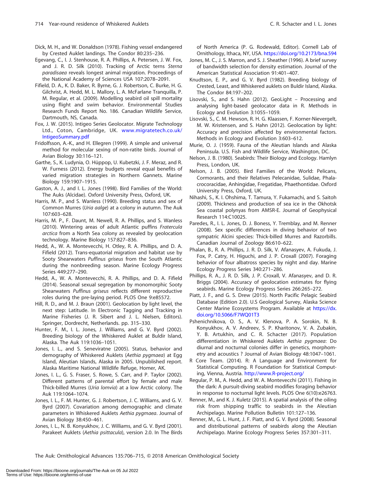- Dick, M. H., and W. Donaldson (1978). Fishing vessel endangered by Crested Auklet landings. The Condor 80:235–236.
- Egevang, C., I. J. Stenhouse, R. A. Phillips, A. Petersen, J. W. Fox, and J. R. D. Silk (2010). Tracking of Arctic terns Sterna paradisaea reveals longest animal migration. Proceedings of the National Academy of Sciences USA 107:2078–2091.
- Fifield, D. A., K. D. Baker, R. Byrne, G. J. Robertson, C. Burke, H. G. Gilchrist, A. Hedd, M. L. Mallory, L. A. McFarlane Tranquilla, P. M. Regular, et al. (2009). Modelling seabird oil spill mortality using flight and swim behavior. Environmental Studies Research Funds Report No. 186. Canadian Wildlife Service, Dartmouth, NS, Canada.
- Fox, J. W. (2015). Intigeo Series Geolocator. Migrate Technology Ltd., Coton, Cambridge, UK. [www.migratetech.co.uk/](http://www.migratetech.co.uk/IntigeoSummary.pdf) [IntigeoSummary.pdf](http://www.migratetech.co.uk/IntigeoSummary.pdf)
- Fridolfsson, A.-K., and H. Ellegren (1999). A simple and universal method for molecular sexing of non-ratite birds. Journal of Avian Biology 30:116–121.
- Garthe, S., K. Ludynia, O. Hüppop, U. Kubetzki, J. F. Meraz, and R. W. Furness (2012). Energy budgets reveal equal benefits of varied migration strategies in Northern Gannets. Marine Biology 159:1907–1915.
- Gaston, A. J., and I. L. Jones (1998). Bird Families of the World: The Auks (Alcidae). Oxford University Press, Oxford, UK.
- Harris, M. P., and S. Wanless (1990). Breeding status and sex of Common Murres (Uria aalge) at a colony in autumn. The Auk 107:603–628.
- Harris, M. P., F. Daunt, M. Newell, R. A. Phillips, and S. Wanless (2010). Wintering areas of adult Atlantic puffins Fratercula arctica from a North Sea colony as revealed by geolocation technology. Marine Biology 157:827–836.
- Hedd, A., W. A. Montevecchi, H. Otley, R. A. Phillips, and D. A. Fifield (2012). Trans-equatorial migration and habitat use by Sooty Shearwaters Puffinus griseus from the South Atlantic during the nonbreeding season. Marine Ecology Progress Series 449:277–290.
- Hedd, A., W. A. Montevecchi, R. A. Phillips, and D. A. Fifield (2014). Seasonal sexual segregation by monomorphic Sooty Shearwaters Puffinus griseus reflects different reproductive roles during the pre-laying period. PLOS One 9:e85572.
- Hill, R. D., and M. J. Braun (2001). Geolocation by light level, the next step: Latitude. In Electronic Tagging and Tracking in Marine Fisheries (J. R. Sibert and J. L. Nielsen, Editors). Springer, Dordrecht, Netherlands. pp. 315–330.
- Hunter, F. M., I. L. Jones, J. Williams, and G. V. Byrd (2002). Breeding biology of the Whiskered Auklet at Buldir Island, Alaska. The Auk 119:1036–1051.
- Jones, I. L., and S. Seneviratne (2005). Status, behavior and demography of Whiskered Auklets (Aethia pygmaea) at Egg Island, Aleutian Islands, Alaska in 2005. Unpublished report. Alaska Maritime National Wildlife Refuge, Homer, AK.
- Jones, I. L., G. S. Fraser, S. Rowe, S. Carr, and P. Taylor (2002). Different patterns of parental effort by female and male Thick-billed Murres (Uria lomvia) at a low Arctic colony. The Auk 119:1064–1074.
- Jones, I. L., F. M. Hunter, G. J. Robertson, J. C. Williams, and G. V. Byrd (2007). Covariation among demographic and climate parameters in Whiskered Auklets Aethia pygmaea. Journal of Avian Biology 38:450–461.
- Jones, I. L., N. B. Konyukhov, J. C. Williams, and G. V. Byrd (2001). Parakeet Auklets (Aethia psittacula), version 2.0. In The Birds

of North America (P. G. Rodewald, Editor). Cornell Lab of Ornithology, Ithaca, NY, USA. <https://doi.org/10.2173/bna.594>

- Jones, M. C., J. S. Marron, and S. J. Sheather (1996). A brief survey of bandwidth selection for density estimation. Journal of the American Statistical Association 91:401–407.
- Knudtson, E. P., and G. V. Byrd (1982). Breeding biology of Crested, Least, and Whiskered auklets on Buldir Island, Alaska. The Condor 84:197–202.
- Lisovski, S., and S. Hahn (2012). GeoLight Processing and analysing light-based geolocator data in R. Methods in Ecology and Evolution 3:1055–1059.
- Lisovski, S., C. M. Hewson, R. H. G. Klaassen, F. Korner-Nievergelt, M. W. Kristensen, and S. Hahn (2012). Geolocation by light: Accuracy and precision affected by environmental factors. Methods in Ecology and Evolution 3:603–612.
- Murie, O. J. (1959). Fauna of the Aleutian Islands and Alaska Peninsula. U.S. Fish and Wildlife Service, Washington, DC.
- Nelson, J. B. (1980). Seabirds: Their Biology and Ecology. Hamlyn Press, London, UK.
- Nelson, J. B. (2005). Bird Families of the World: Pelicans, Cormorants, and their Relatives Pelecanidae, Sulidae, Phalacrocoracidae, Anhingidae, Fregatidae, Phaethontidae. Oxford University Press, Oxford, UK.
- Nihashi, S., K. I. Ohshima, T. Tamura, Y. Fukamachi, and S. Saitoh (2009). Thickness and production of sea ice in the Okhotsk Sea coastal polynyas from AMSR-E. Journal of Geophysical Research 114:C10025.
- Paredes, R., I. L. Jones, D. J. Boness, Y. Tremblay, and M. Renner (2008). Sex specific differences in diving behavior of two sympatric Alcini species: Thick-billed Murres and Razorbills. Canadian Journal of Zoology 86:610–622.
- Phalan, B., R. A. Phillips, J. R. D. Silk, V. Afanasyev, A. Fukuda, J. Fox, P. Catry, H. Higuchi, and J. P. Croxall (2007). Foraging behavior of four albatross species by night and day. Marine Ecology Progress Series 340:271–286.
- Phillips, R. A., J. R. D. Silk, J. P. Croxall, V. Afanasyev, and D. R. Briggs (2004). Accuracy of geolocation estimates for flying seabirds. Marine Ecology Progress Series 266:265–272.
- Piatt, J. F., and G. S. Drew (2015). North Pacific Pelagic Seabird Database (Edition 2.0). U.S Geological Survey, Alaska Science Center Marine Ecosystems Program. Available at [https://dx.](https://dx.doi.org/10.5066/F7WQ01T3) [doi.org/10.5066/F7WQ01T3](https://dx.doi.org/10.5066/F7WQ01T3)
- Pshenichnikova, O. S., A. V. Klenova, P. A. Sorokin, N. B. Konyukhov, A. V. Andreev, S. P. Kharitonov, V. A. Zubakin, Y. B. Artukhin, and C. R. Schacter (2017). Population differentiation in Whiskered Auklets Aethia pygmaea: Do diurnal and nocturnal colonies differ in genetics, morphometry and acoustics ? Journal of Avian Biology 48:1047–1061.
- R Core Team. (2014). R: A Language and Environment for Statistical Computing. R Foundation for Statistical Computing, Vienna, Austria. <http://www.R-project.org/>
- Regular, P. M., A. Hedd, and W. A. Montevecchi (2011). Fishing in the dark: A pursuit-diving seabird modifies foraging behavior in response to nocturnal light levels. PLOS One 6(10):e26763.
- Renner, M., and K. J. Kuletz (2015). A spatial analysis of the oiling risk from shipping traffic to seabirds in the Aleutian Archipelago. Marine Pollution Bulletin 101:127–136.
- Renner, M., G. L. Hunt, J. F. Piatt, and G. V. Byrd (2008). Seasonal and distributional patterns of seabirds along the Aleutian Archipelago. Marine Ecology Progress Series 357:301–311.

The Auk: Ornithological Advances 135:706-715, © 2018 American Ornithological Society